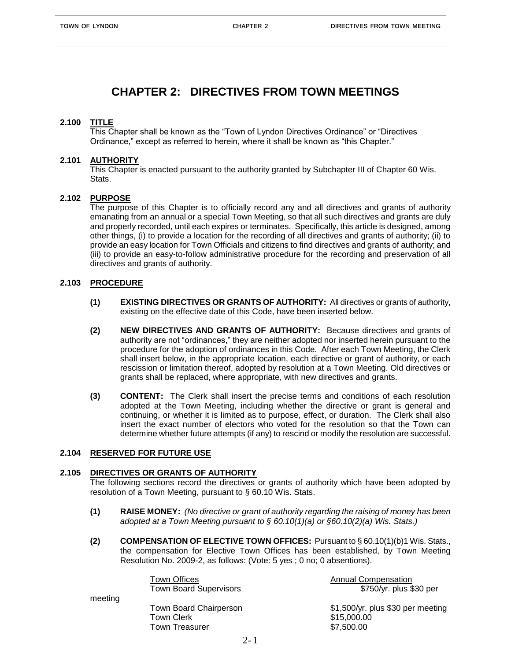# **CHAPTER 2: DIRECTIVES FROM TOWN MEETINGS**

## **2.100 TITLE**

This Chapter shall be known as the "Town of Lyndon Directives Ordinance" or "Directives Ordinance," except as referred to herein, where it shall be known as "this Chapter."

### **2.101 AUTHORITY**

This Chapter is enacted pursuant to the authority granted by Subchapter III of Chapter 60 Wis. Stats.

#### **2.102 PURPOSE**

 The purpose of this Chapter is to officially record any and all directives and grants of authority emanating from an annual or a special Town Meeting, so that all such directives and grants are duly and properly recorded, until each expires or terminates. Specifically, this article is designed, among other things, (i) to provide a location for the recording of all directives and grants of authority; (ii) to provide an easy location for Town Officials and citizens to find directives and grants of authority; and (iii) to provide an easy-to-follow administrative procedure for the recording and preservation of all directives and grants of authority.

#### **2.103 PROCEDURE**

- **(1) EXISTING DIRECTIVES OR GRANTS OF AUTHORITY:** All directives or grants of authority, existing on the effective date of this Code, have been inserted below.
- **(2) NEW DIRECTIVES AND GRANTS OF AUTHORITY:** Because directives and grants of authority are not "ordinances," they are neither adopted nor inserted herein pursuant to the procedure for the adoption of ordinances in this Code. After each Town Meeting, the Clerk shall insert below, in the appropriate location, each directive or grant of authority, or each rescission or limitation thereof, adopted by resolution at a Town Meeting. Old directives or grants shall be replaced, where appropriate, with new directives and grants.
- **(3) CONTENT:** The Clerk shall insert the precise terms and conditions of each resolution adopted at the Town Meeting, including whether the directive or grant is general and continuing, or whether it is limited as to purpose, effect, or duration. The Clerk shall also insert the exact number of electors who voted for the resolution so that the Town can determine whether future attempts (if any) to rescind or modify the resolution are successful.

#### **2.104 RESERVED FOR FUTURE USE**

meeting

#### **2.105 DIRECTIVES OR GRANTS OF AUTHORITY**

The following sections record the directives or grants of authority which have been adopted by resolution of a Town Meeting, pursuant to § 60.10 Wis. Stats.

- **(1) RAISE MONEY:** *(No directive or grant of authority regarding the raising of money has been adopted at a Town Meeting pursuant to § 60.10(1)(a) or §60.10(2)(a) Wis. Stats.)*
- **(2) COMPENSATION OF ELECTIVE TOWN OFFICES:** Pursuant to § 60.10(1)(b)1 Wis. Stats., the compensation for Elective Town Offices has been established, by Town Meeting Resolution No. 2009-2, as follows: (Vote: 5 yes ; 0 no; 0 absentions).

| <b>Town Offices</b>           | <b>Annual Compensation</b>         |
|-------------------------------|------------------------------------|
| <b>Town Board Supervisors</b> | \$750/yr. plus \$30 per            |
| <b>Town Board Chairperson</b> | $$1,500/yr.$ plus \$30 per meeting |
| <b>Town Clerk</b>             | \$15,000.00                        |
| <b>Town Treasurer</b>         | \$7,500.00                         |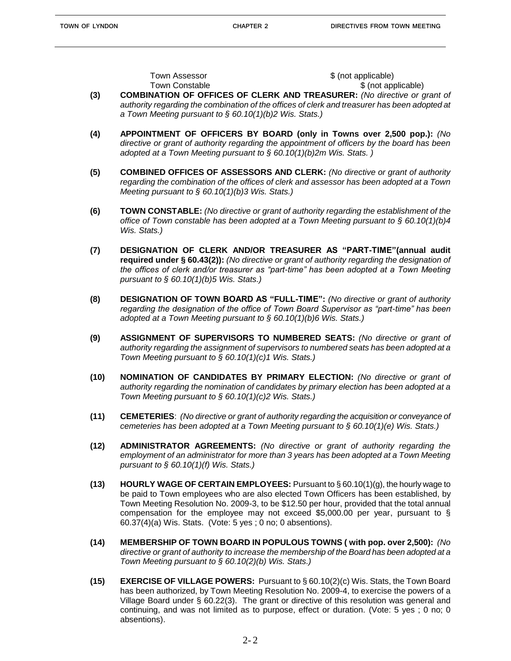Town Assessor **by a contract to a contract the S** (not applicable) Town Constable \$ (not applicable)

- **(3) COMBINATION OF OFFICES OF CLERK AND TREASURER:** *(No directive or grant of authority regarding the combination of the offices of clerk and treasurer has been adopted at a Town Meeting pursuant to § 60.10(1)(b)2 Wis. Stats.)*
- **(4) APPOINTMENT OF OFFICERS BY BOARD (only in Towns over 2,500 pop.):** *(No directive or grant of authority regarding the appointment of officers by the board has been adopted at a Town Meeting pursuant to § 60.10(1)(b)2m Wis. Stats. )*
- **(5) COMBINED OFFICES OF ASSESSORS AND CLERK:** *(No directive or grant of authority regarding the combination of the offices of clerk and assessor has been adopted at a Town Meeting pursuant to § 60.10(1)(b)3 Wis. Stats.)*
- **(6) TOWN CONSTABLE:** *(No directive or grant of authority regarding the establishment of the office of Town constable has been adopted at a Town Meeting pursuant to § 60.10(1)(b)4 Wis. Stats.)*
- **(7) DESIGNATION OF CLERK AND/OR TREASURER AS "PART-TIME"(annual audit required under § 60.43(2)):** *(No directive or grant of authority regarding the designation of the offices of clerk and/or treasurer as "part-time" has been adopted at a Town Meeting pursuant to § 60.10(1)(b)5 Wis. Stats.)*
- **(8) DESIGNATION OF TOWN BOARD AS "FULL-TIME":** *(No directive or grant of authority regarding the designation of the office of Town Board Supervisor as "part-time" has been adopted at a Town Meeting pursuant to § 60.10(1)(b)6 Wis. Stats.)*
- **(9) ASSIGNMENT OF SUPERVISORS TO NUMBERED SEATS:** *(No directive or grant of authority regarding the assignment of supervisors to numbered seats has been adopted at a Town Meeting pursuant to § 60.10(1)(c)1 Wis. Stats.)*
- **(10) NOMINATION OF CANDIDATES BY PRIMARY ELECTION:** *(No directive or grant of authority regarding the nomination of candidates by primary election has been adopted at a Town Meeting pursuant to § 60.10(1)(c)2 Wis. Stats.)*
- **(11) CEMETERIES**: *(No directive or grant of authority regarding the acquisition or conveyance of cemeteries has been adopted at a Town Meeting pursuant to § 60.10(1)(e) Wis. Stats.)*
- **(12) ADMINISTRATOR AGREEMENTS:** *(No directive or grant of authority regarding the employment of an administrator for more than 3 years has been adopted at a Town Meeting pursuant to § 60.10(1)(f) Wis. Stats.)*
- **(13) HOURLY WAGE OF CERTAIN EMPLOYEES:** Pursuant to § 60.10(1)(g), the hourly wage to be paid to Town employees who are also elected Town Officers has been established, by Town Meeting Resolution No. 2009-3, to be \$12.50 per hour, provided that the total annual compensation for the employee may not exceed \$5,000.00 per year, pursuant to  $\S$ 60.37(4)(a) Wis. Stats. (Vote: 5 yes ; 0 no; 0 absentions).
- **(14) MEMBERSHIP OF TOWN BOARD IN POPULOUS TOWNS ( with pop. over 2,500):** *(No directive or grant of authority to increase the membership of the Board has been adopted at a Town Meeting pursuant to § 60.10(2)(b) Wis. Stats.)*
- **(15) EXERCISE OF VILLAGE POWERS:** Pursuant to § 60.10(2)(c) Wis. Stats, the Town Board has been authorized, by Town Meeting Resolution No. 2009-4, to exercise the powers of a Village Board under § 60.22(3). The grant or directive of this resolution was general and continuing, and was not limited as to purpose, effect or duration. (Vote: 5 yes ; 0 no; 0 absentions).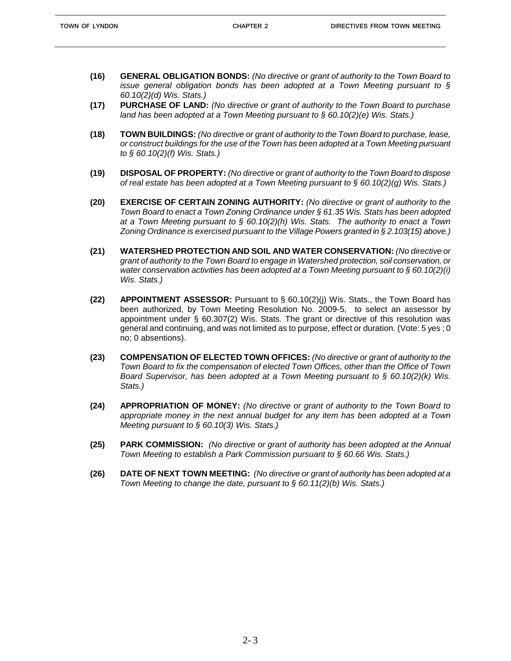- **(16) GENERAL OBLIGATION BONDS:** *(No directive or grant of authority to the Town Board to issue general obligation bonds has been adopted at a Town Meeting pursuant to § 60.10(2)(d) Wis. Stats.)*
- **(17) PURCHASE OF LAND:** *(No directive or grant of authority to the Town Board to purchase land has been adopted at a Town Meeting pursuant to § 60.10(2)(e) Wis. Stats.)*
- **(18) TOWN BUILDINGS:** *(No directive or grant of authority to the Town Board to purchase, lease, or construct buildings for the use of the Town has been adopted at a Town Meeting pursuant to § 60.10(2)(f) Wis. Stats.)*
- **(19) DISPOSAL OF PROPERTY:** *(No directive or grant of authority to the Town Board to dispose of real estate has been adopted at a Town Meeting pursuant to § 60.10(2)(g) Wis. Stats.)*
- **(20) EXERCISE OF CERTAIN ZONING AUTHORITY:** *(No directive or grant of authority to the Town Board to enact a Town Zoning Ordinance under § 61.35 Wis. Stats has been adopted at a Town Meeting pursuant to § 60.10(2)(h) Wis. Stats. The authority to enact a Town Zoning Ordinance is exercised pursuant to the Village Powers granted in § 2.103(15) above.)*
- **(21) WATERSHED PROTECTION AND SOIL AND WATER CONSERVATION:** *(No directive or grant of authority to the Town Board to engage in Watershed protection, soil conservation, or water conservation activities has been adopted at a Town Meeting pursuant to § 60.10(2)(i) Wis. Stats.)*
- **(22) APPOINTMENT ASSESSOR:** Pursuant to § 60.10(2)(j) Wis. Stats., the Town Board has been authorized, by Town Meeting Resolution No. 2009-5, to select an assessor by appointment under § 60.307(2) Wis. Stats. The grant or directive of this resolution was general and continuing, and was not limited as to purpose, effect or duration. (Vote: 5 yes ; 0 no; 0 absentions).
- **(23) COMPENSATION OF ELECTED TOWN OFFICES:** *(No directive or grant of authority to the Town Board to fix the compensation of elected Town Offices, other than the Office of Town Board Supervisor, has been adopted at a Town Meeting pursuant to § 60.10(2)(k) Wis. Stats.)*
- **(24) APPROPRIATION OF MONEY:** *(No directive or grant of authority to the Town Board to appropriate money in the next annual budget for any item has been adopted at a Town Meeting pursuant to § 60.10(3) Wis. Stats.)*
- **(25) PARK COMMISSION:** *(No directive or grant of authority has been adopted at the Annual Town Meeting to establish a Park Commission pursuant to § 60.66 Wis. Stats.)*
- **(26) DATE OF NEXT TOWN MEETING:** *(No directive or grant of authority has been adopted at a Town Meeting to change the date, pursuant to § 60.11(2)(b) Wis. Stats.)*